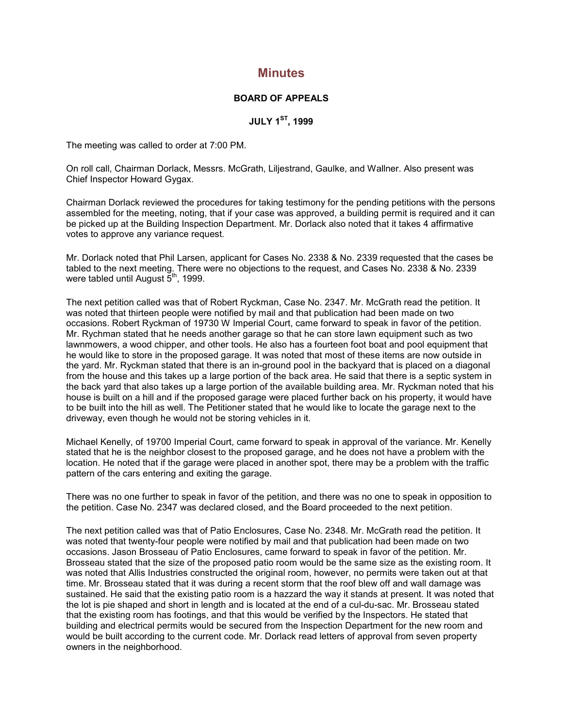## **Minutes**

## **BOARD OF APPEALS**

**JULY 1ST, 1999**

The meeting was called to order at 7:00 PM.

On roll call, Chairman Dorlack, Messrs. McGrath, Liljestrand, Gaulke, and Wallner. Also present was Chief Inspector Howard Gygax.

Chairman Dorlack reviewed the procedures for taking testimony for the pending petitions with the persons assembled for the meeting, noting, that if your case was approved, a building permit is required and it can be picked up at the Building Inspection Department. Mr. Dorlack also noted that it takes 4 affirmative votes to approve any variance request.

Mr. Dorlack noted that Phil Larsen, applicant for Cases No. 2338 & No. 2339 requested that the cases be tabled to the next meeting. There were no objections to the request, and Cases No. 2338 & No. 2339 were tabled until August  $\bar{5}^{th}$ , 1999.

The next petition called was that of Robert Ryckman, Case No. 2347. Mr. McGrath read the petition. It was noted that thirteen people were notified by mail and that publication had been made on two occasions. Robert Ryckman of 19730 W Imperial Court, came forward to speak in favor of the petition. Mr. Rychman stated that he needs another garage so that he can store lawn equipment such as two lawnmowers, a wood chipper, and other tools. He also has a fourteen foot boat and pool equipment that he would like to store in the proposed garage. It was noted that most of these items are now outside in the yard. Mr. Ryckman stated that there is an in-ground pool in the backyard that is placed on a diagonal from the house and this takes up a large portion of the back area. He said that there is a septic system in the back yard that also takes up a large portion of the available building area. Mr. Ryckman noted that his house is built on a hill and if the proposed garage were placed further back on his property, it would have to be built into the hill as well. The Petitioner stated that he would like to locate the garage next to the driveway, even though he would not be storing vehicles in it.

Michael Kenelly, of 19700 Imperial Court, came forward to speak in approval of the variance. Mr. Kenelly stated that he is the neighbor closest to the proposed garage, and he does not have a problem with the location. He noted that if the garage were placed in another spot, there may be a problem with the traffic pattern of the cars entering and exiting the garage.

There was no one further to speak in favor of the petition, and there was no one to speak in opposition to the petition. Case No. 2347 was declared closed, and the Board proceeded to the next petition.

The next petition called was that of Patio Enclosures, Case No. 2348. Mr. McGrath read the petition. It was noted that twenty-four people were notified by mail and that publication had been made on two occasions. Jason Brosseau of Patio Enclosures, came forward to speak in favor of the petition. Mr. Brosseau stated that the size of the proposed patio room would be the same size as the existing room. It was noted that Allis Industries constructed the original room, however, no permits were taken out at that time. Mr. Brosseau stated that it was during a recent storm that the roof blew off and wall damage was sustained. He said that the existing patio room is a hazzard the way it stands at present. It was noted that the lot is pie shaped and short in length and is located at the end of a cul-du-sac. Mr. Brosseau stated that the existing room has footings, and that this would be verified by the Inspectors. He stated that building and electrical permits would be secured from the Inspection Department for the new room and would be built according to the current code. Mr. Dorlack read letters of approval from seven property owners in the neighborhood.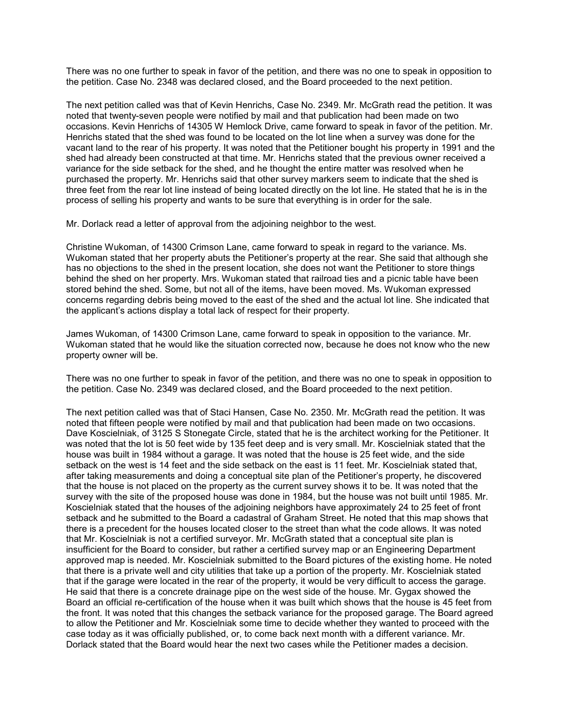There was no one further to speak in favor of the petition, and there was no one to speak in opposition to the petition. Case No. 2348 was declared closed, and the Board proceeded to the next petition.

The next petition called was that of Kevin Henrichs, Case No. 2349. Mr. McGrath read the petition. It was noted that twenty-seven people were notified by mail and that publication had been made on two occasions. Kevin Henrichs of 14305 W Hemlock Drive, came forward to speak in favor of the petition. Mr. Henrichs stated that the shed was found to be located on the lot line when a survey was done for the vacant land to the rear of his property. It was noted that the Petitioner bought his property in 1991 and the shed had already been constructed at that time. Mr. Henrichs stated that the previous owner received a variance for the side setback for the shed, and he thought the entire matter was resolved when he purchased the property. Mr. Henrichs said that other survey markers seem to indicate that the shed is three feet from the rear lot line instead of being located directly on the lot line. He stated that he is in the process of selling his property and wants to be sure that everything is in order for the sale.

Mr. Dorlack read a letter of approval from the adjoining neighbor to the west.

Christine Wukoman, of 14300 Crimson Lane, came forward to speak in regard to the variance. Ms. Wukoman stated that her property abuts the Petitioner's property at the rear. She said that although she has no objections to the shed in the present location, she does not want the Petitioner to store things behind the shed on her property. Mrs. Wukoman stated that railroad ties and a picnic table have been stored behind the shed. Some, but not all of the items, have been moved. Ms. Wukoman expressed concerns regarding debris being moved to the east of the shed and the actual lot line. She indicated that the applicant's actions display a total lack of respect for their property.

James Wukoman, of 14300 Crimson Lane, came forward to speak in opposition to the variance. Mr. Wukoman stated that he would like the situation corrected now, because he does not know who the new property owner will be.

There was no one further to speak in favor of the petition, and there was no one to speak in opposition to the petition. Case No. 2349 was declared closed, and the Board proceeded to the next petition.

The next petition called was that of Staci Hansen, Case No. 2350. Mr. McGrath read the petition. It was noted that fifteen people were notified by mail and that publication had been made on two occasions. Dave Koscielniak, of 3125 S Stonegate Circle, stated that he is the architect working for the Petitioner. It was noted that the lot is 50 feet wide by 135 feet deep and is very small. Mr. Koscielniak stated that the house was built in 1984 without a garage. It was noted that the house is 25 feet wide, and the side setback on the west is 14 feet and the side setback on the east is 11 feet. Mr. Koscielniak stated that, after taking measurements and doing a conceptual site plan of the Petitioner's property, he discovered that the house is not placed on the property as the current survey shows it to be. It was noted that the survey with the site of the proposed house was done in 1984, but the house was not built until 1985. Mr. Koscielniak stated that the houses of the adjoining neighbors have approximately 24 to 25 feet of front setback and he submitted to the Board a cadastral of Graham Street. He noted that this map shows that there is a precedent for the houses located closer to the street than what the code allows. It was noted that Mr. Koscielniak is not a certified surveyor. Mr. McGrath stated that a conceptual site plan is insufficient for the Board to consider, but rather a certified survey map or an Engineering Department approved map is needed. Mr. Koscielniak submitted to the Board pictures of the existing home. He noted that there is a private well and city utilities that take up a portion of the property. Mr. Koscielniak stated that if the garage were located in the rear of the property, it would be very difficult to access the garage. He said that there is a concrete drainage pipe on the west side of the house. Mr. Gygax showed the Board an official re-certification of the house when it was built which shows that the house is 45 feet from the front. It was noted that this changes the setback variance for the proposed garage. The Board agreed to allow the Petitioner and Mr. Koscielniak some time to decide whether they wanted to proceed with the case today as it was officially published, or, to come back next month with a different variance. Mr. Dorlack stated that the Board would hear the next two cases while the Petitioner mades a decision.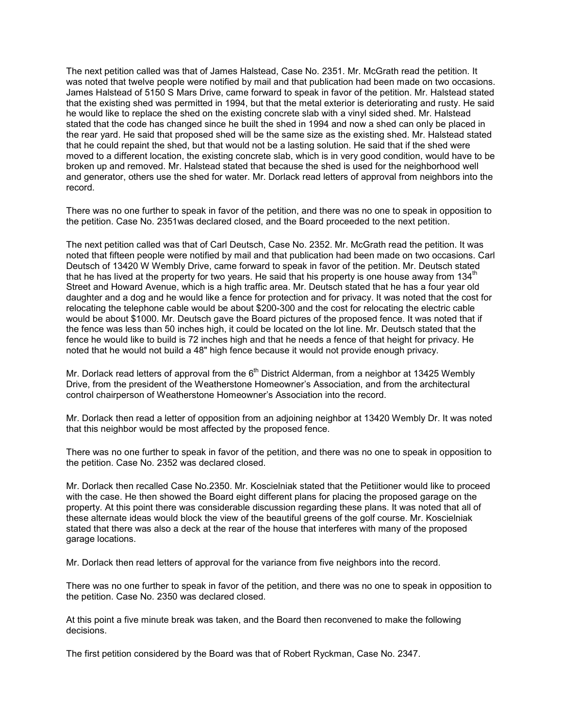The next petition called was that of James Halstead, Case No. 2351. Mr. McGrath read the petition. It was noted that twelve people were notified by mail and that publication had been made on two occasions. James Halstead of 5150 S Mars Drive, came forward to speak in favor of the petition. Mr. Halstead stated that the existing shed was permitted in 1994, but that the metal exterior is deteriorating and rusty. He said he would like to replace the shed on the existing concrete slab with a vinyl sided shed. Mr. Halstead stated that the code has changed since he built the shed in 1994 and now a shed can only be placed in the rear yard. He said that proposed shed will be the same size as the existing shed. Mr. Halstead stated that he could repaint the shed, but that would not be a lasting solution. He said that if the shed were moved to a different location, the existing concrete slab, which is in very good condition, would have to be broken up and removed. Mr. Halstead stated that because the shed is used for the neighborhood well and generator, others use the shed for water. Mr. Dorlack read letters of approval from neighbors into the record.

There was no one further to speak in favor of the petition, and there was no one to speak in opposition to the petition. Case No. 2351was declared closed, and the Board proceeded to the next petition.

The next petition called was that of Carl Deutsch, Case No. 2352. Mr. McGrath read the petition. It was noted that fifteen people were notified by mail and that publication had been made on two occasions. Carl Deutsch of 13420 W Wembly Drive, came forward to speak in favor of the petition. Mr. Deutsch stated that he has lived at the property for two years. He said that his property is one house away from 134<sup>th</sup> Street and Howard Avenue, which is a high traffic area. Mr. Deutsch stated that he has a four year old daughter and a dog and he would like a fence for protection and for privacy. It was noted that the cost for relocating the telephone cable would be about \$200-300 and the cost for relocating the electric cable would be about \$1000. Mr. Deutsch gave the Board pictures of the proposed fence. It was noted that if the fence was less than 50 inches high, it could be located on the lot line. Mr. Deutsch stated that the fence he would like to build is 72 inches high and that he needs a fence of that height for privacy. He noted that he would not build a 48" high fence because it would not provide enough privacy.

Mr. Dorlack read letters of approval from the  $6<sup>th</sup>$  District Alderman, from a neighbor at 13425 Wembly Drive, from the president of the Weatherstone Homeowner's Association, and from the architectural control chairperson of Weatherstone Homeowner's Association into the record.

Mr. Dorlack then read a letter of opposition from an adjoining neighbor at 13420 Wembly Dr. It was noted that this neighbor would be most affected by the proposed fence.

There was no one further to speak in favor of the petition, and there was no one to speak in opposition to the petition. Case No. 2352 was declared closed.

Mr. Dorlack then recalled Case No.2350. Mr. Koscielniak stated that the Petiitioner would like to proceed with the case. He then showed the Board eight different plans for placing the proposed garage on the property. At this point there was considerable discussion regarding these plans. It was noted that all of these alternate ideas would block the view of the beautiful greens of the golf course. Mr. Koscielniak stated that there was also a deck at the rear of the house that interferes with many of the proposed garage locations.

Mr. Dorlack then read letters of approval for the variance from five neighbors into the record.

There was no one further to speak in favor of the petition, and there was no one to speak in opposition to the petition. Case No. 2350 was declared closed.

At this point a five minute break was taken, and the Board then reconvened to make the following decisions.

The first petition considered by the Board was that of Robert Ryckman, Case No. 2347.